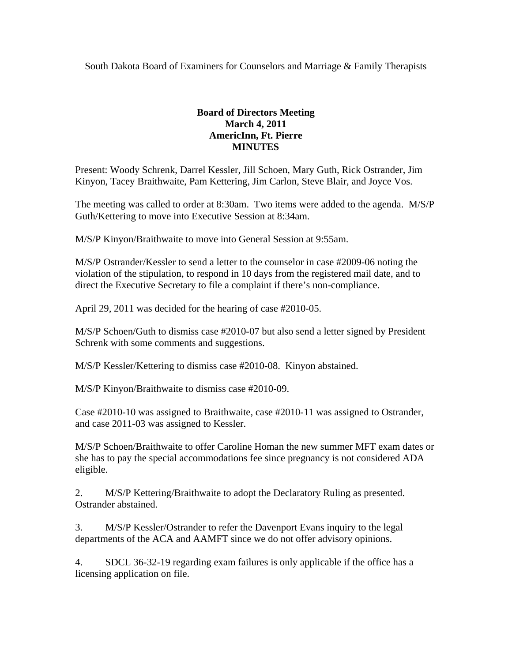South Dakota Board of Examiners for Counselors and Marriage & Family Therapists

## **Board of Directors Meeting March 4, 2011 AmericInn, Ft. Pierre MINUTES**

Present: Woody Schrenk, Darrel Kessler, Jill Schoen, Mary Guth, Rick Ostrander, Jim Kinyon, Tacey Braithwaite, Pam Kettering, Jim Carlon, Steve Blair, and Joyce Vos.

The meeting was called to order at 8:30am. Two items were added to the agenda. M/S/P Guth/Kettering to move into Executive Session at 8:34am.

M/S/P Kinyon/Braithwaite to move into General Session at 9:55am.

M/S/P Ostrander/Kessler to send a letter to the counselor in case #2009-06 noting the violation of the stipulation, to respond in 10 days from the registered mail date, and to direct the Executive Secretary to file a complaint if there's non-compliance.

April 29, 2011 was decided for the hearing of case #2010-05.

M/S/P Schoen/Guth to dismiss case #2010-07 but also send a letter signed by President Schrenk with some comments and suggestions.

M/S/P Kessler/Kettering to dismiss case #2010-08. Kinyon abstained.

M/S/P Kinyon/Braithwaite to dismiss case #2010-09.

Case #2010-10 was assigned to Braithwaite, case #2010-11 was assigned to Ostrander, and case 2011-03 was assigned to Kessler.

M/S/P Schoen/Braithwaite to offer Caroline Homan the new summer MFT exam dates or she has to pay the special accommodations fee since pregnancy is not considered ADA eligible.

2. M/S/P Kettering/Braithwaite to adopt the Declaratory Ruling as presented. Ostrander abstained.

3. M/S/P Kessler/Ostrander to refer the Davenport Evans inquiry to the legal departments of the ACA and AAMFT since we do not offer advisory opinions.

4. SDCL 36-32-19 regarding exam failures is only applicable if the office has a licensing application on file.